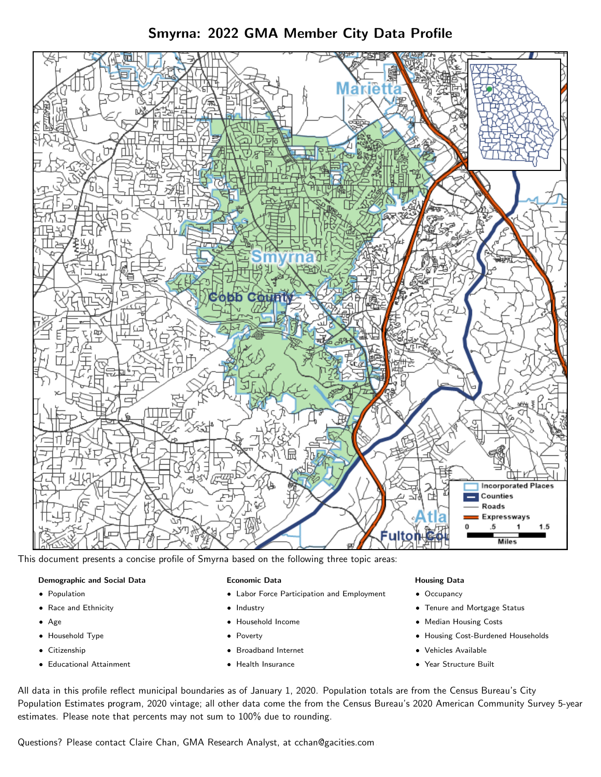# Smyrna: 2022 GMA Member City Data Profile



This document presents a concise profile of Smyrna based on the following three topic areas:

#### Demographic and Social Data

- **•** Population
- Race and Ethnicity
- Age
- Household Type
- **Citizenship**
- Educational Attainment

#### Economic Data

- Labor Force Participation and Employment
- Industry
- Household Income
- Poverty
- Broadband Internet
- Health Insurance

#### Housing Data

- Occupancy
- Tenure and Mortgage Status
- Median Housing Costs
- Housing Cost-Burdened Households
- Vehicles Available
- Year Structure Built

All data in this profile reflect municipal boundaries as of January 1, 2020. Population totals are from the Census Bureau's City Population Estimates program, 2020 vintage; all other data come the from the Census Bureau's 2020 American Community Survey 5-year estimates. Please note that percents may not sum to 100% due to rounding.

Questions? Please contact Claire Chan, GMA Research Analyst, at [cchan@gacities.com.](mailto:cchan@gacities.com)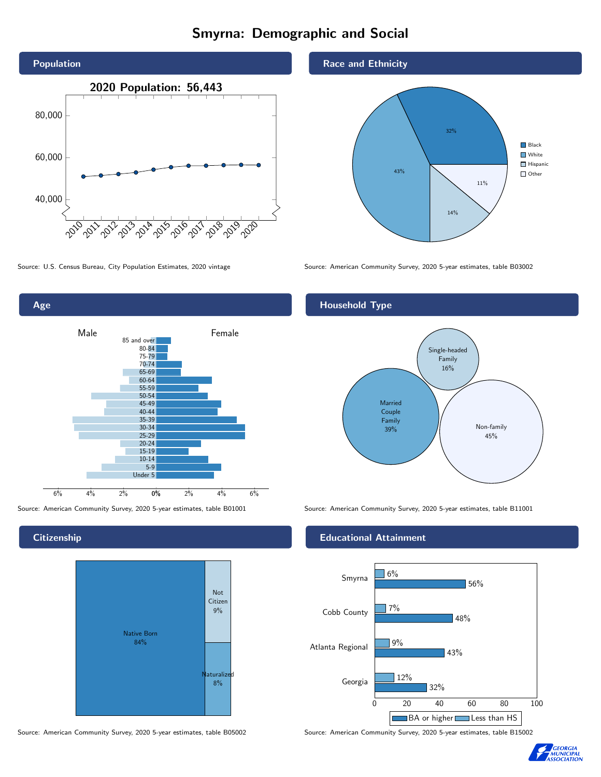# Smyrna: Demographic and Social





**Citizenship** 



Source: American Community Survey, 2020 5-year estimates, table B05002 Source: American Community Survey, 2020 5-year estimates, table B15002





Source: U.S. Census Bureau, City Population Estimates, 2020 vintage Source: American Community Survey, 2020 5-year estimates, table B03002

## Household Type



Source: American Community Survey, 2020 5-year estimates, table B01001 Source: American Community Survey, 2020 5-year estimates, table B11001

#### Educational Attainment



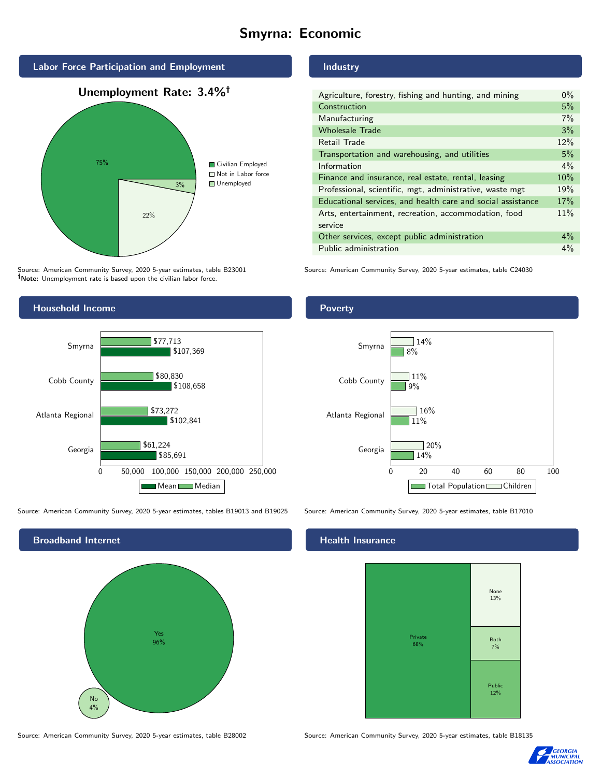# Smyrna: Economic



Source: American Community Survey, 2020 5-year estimates, table B23001 Note: Unemployment rate is based upon the civilian labor force.



Source: American Community Survey, 2020 5-year estimates, tables B19013 and B19025 Source: American Community Survey, 2020 5-year estimates, table B17010



Source: American Community Survey, 2020 5-year estimates, table B28002 Source: American Community Survey, 2020 5-year estimates, table B18135

### Industry

| Agriculture, forestry, fishing and hunting, and mining      | $0\%$ |
|-------------------------------------------------------------|-------|
| Construction                                                | 5%    |
| Manufacturing                                               | 7%    |
| <b>Wholesale Trade</b>                                      | 3%    |
| Retail Trade                                                | 12%   |
| Transportation and warehousing, and utilities               | 5%    |
| Information                                                 | $4\%$ |
| Finance and insurance, real estate, rental, leasing         | 10%   |
| Professional, scientific, mgt, administrative, waste mgt    | 19%   |
| Educational services, and health care and social assistance | 17%   |
| Arts, entertainment, recreation, accommodation, food        | 11%   |
| service                                                     |       |
| Other services, except public administration                | $4\%$ |
| Public administration                                       | $4\%$ |

Source: American Community Survey, 2020 5-year estimates, table C24030

### **Poverty**



#### Health Insurance